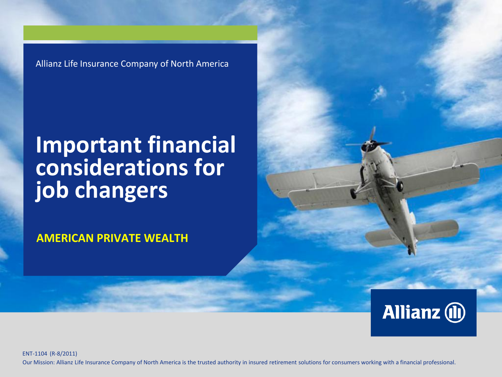Allianz Life Insurance Company of North America

### **Important financial considerations for job changers**

**AMERICAN PRIVATE WEALTH**



ENT-1104 (R-8/2011) Our Mission: Allianz Life Insurance Company of North America is the trusted authority in insured retirement solutions for consumers working with a financial professional.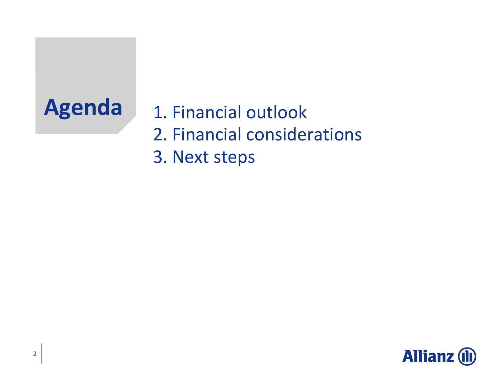Agenda 1. Financial outlook 2. Financial considerations 3. Next steps

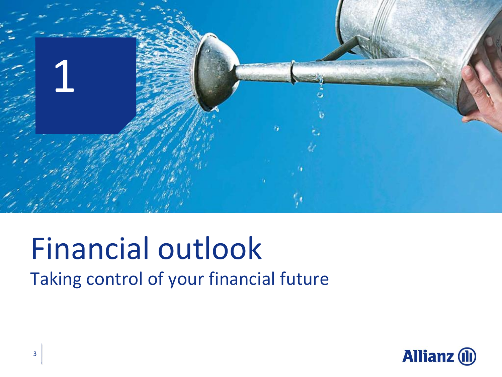

# Financial outlook

Taking control of your financial future

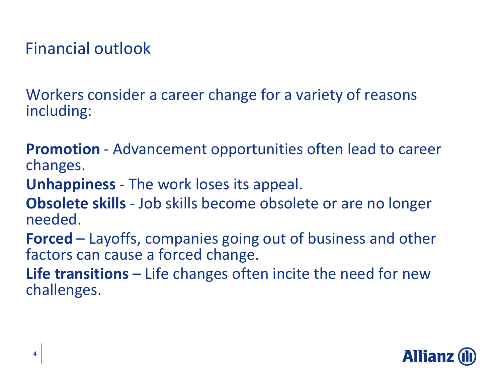Workers consider a career change for a variety of reasons including:

**Promotion** - Advancement opportunities often lead to career changes.

**Unhappiness** - The work loses its appeal.

**Obsolete skills** - Job skills become obsolete or are no longer needed.

**Forced** – Layoffs, companies going out of business and other factors can cause a forced change.

**Life transitions** – Life changes often incite the need for new challenges.

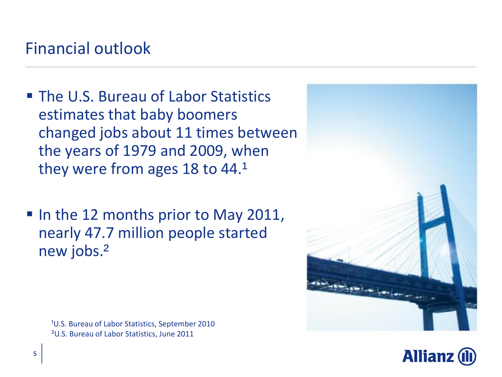#### Financial outlook

- **The U.S. Bureau of Labor Statistics** estimates that baby boomers changed jobs about 11 times between the years of 1979 and 2009, when they were from ages 18 to  $44.1$
- In the 12 months prior to May 2011, nearly 47.7 million people started new jobs.²

<sup>1</sup>U.S. Bureau of Labor Statistics, September 2010 ²U.S. Bureau of Labor Statistics, June 2011



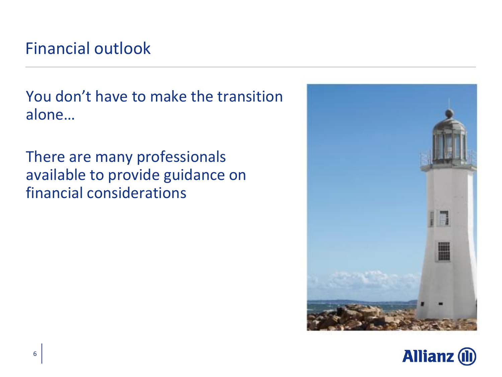#### Financial outlook

You don't have to make the transition alone…

There are many professionals available to provide guidance on financial considerations



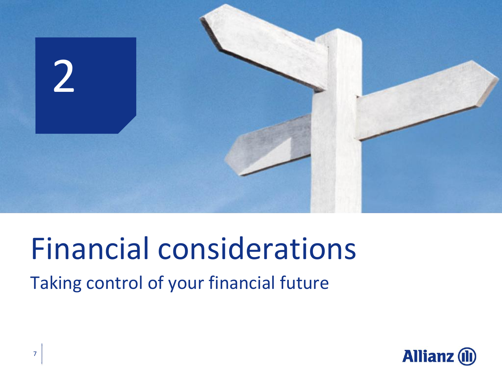

## Financial considerations

Taking control of your financial future

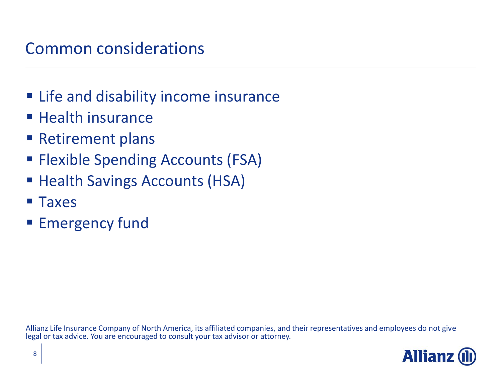#### Common considerations

- **Example 2 In Life and disability income insurance**
- **Health insurance**
- **Retirement plans**
- **Flexible Spending Accounts (FSA)**
- **Health Savings Accounts (HSA)**
- **Taxes**
- **Emergency fund**

Allianz Life Insurance Company of North America, its affiliated companies, and their representatives and employees do not give legal or tax advice. You are encouraged to consult your tax advisor or attorney.

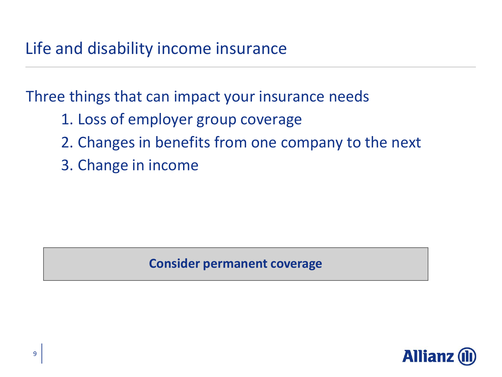Three things that can impact your insurance needs

- 1. Loss of employer group coverage
- 2. Changes in benefits from one company to the next
- 3. Change in income

#### **Consider permanent coverage**

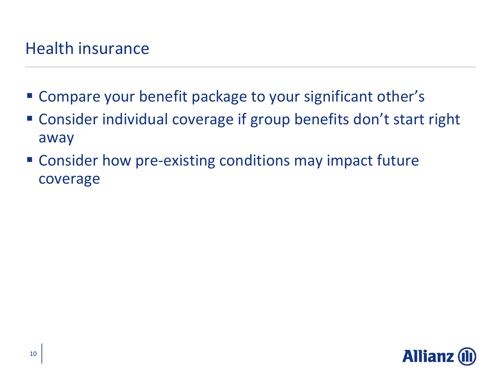#### Health insurance

- Compare your benefit package to your significant other's
- Consider individual coverage if group benefits don't start right away
- **EX Consider how pre-existing conditions may impact future** coverage

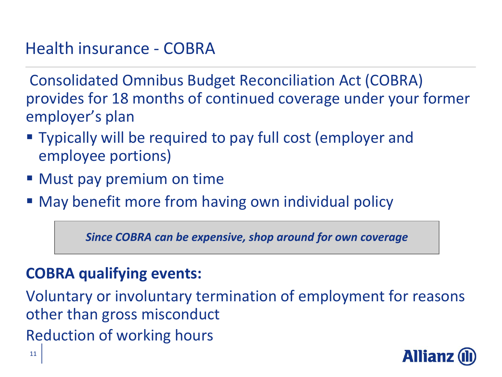#### Health insurance - COBRA

Consolidated Omnibus Budget Reconciliation Act (COBRA) provides for 18 months of continued coverage under your former employer's plan

- Typically will be required to pay full cost (employer and employee portions)
- **Must pay premium on time**
- **May benefit more from having own individual policy**

*Since COBRA can be expensive, shop around for own coverage*

#### **COBRA qualifying events:**

Voluntary or involuntary termination of employment for reasons other than gross misconduct Reduction of working hours

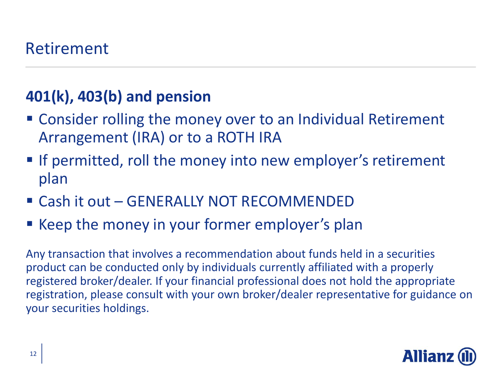#### **401(k), 403(b) and pension**

- Consider rolling the money over to an Individual Retirement Arrangement (IRA) or to a ROTH IRA
- **If permitted, roll the money into new employer's retirement** plan
- Cash it out GENERALLY NOT RECOMMENDED
- **E** Keep the money in your former employer's plan

Any transaction that involves a recommendation about funds held in a securities product can be conducted only by individuals currently affiliated with a properly registered broker/dealer. If your financial professional does not hold the appropriate registration, please consult with your own broker/dealer representative for guidance on your securities holdings.

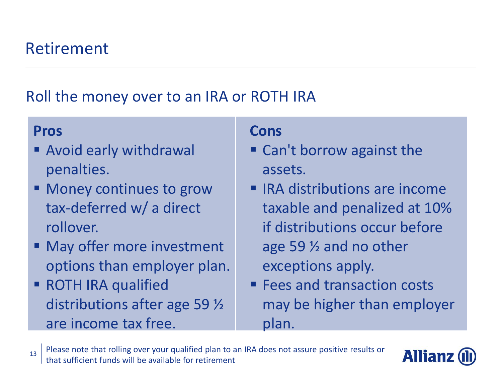#### Roll the money over to an IRA or ROTH IRA

#### **Pros**

- Avoid early withdrawal penalties.
- Money continues to grow tax-deferred w/ a direct rollover.
- May offer more investment options than employer plan.
- **ROTH IRA qualified** distributions after age 59 ½ are income tax free.

- Can't borrow against the assets.
- $\blacksquare$  IRA distributions are income taxable and penalized at 10% if distributions occur before age 59 ½ and no other exceptions apply.
- **Fees and transaction costs** may be higher than employer plan.

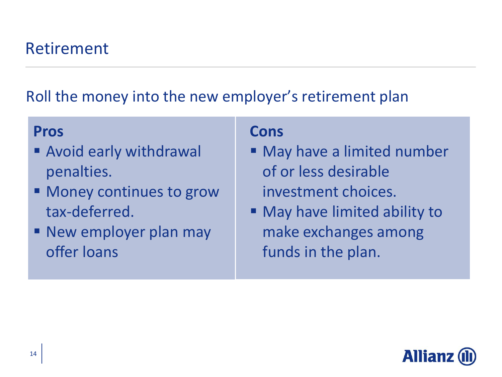Roll the money into the new employer's retirement plan

#### **Pros**

- Avoid early withdrawal penalties.
- Money continues to grow tax-deferred.
- **New employer plan may** offer loans

- **May have a limited number** of or less desirable investment choices.
- May have limited ability to make exchanges among funds in the plan.

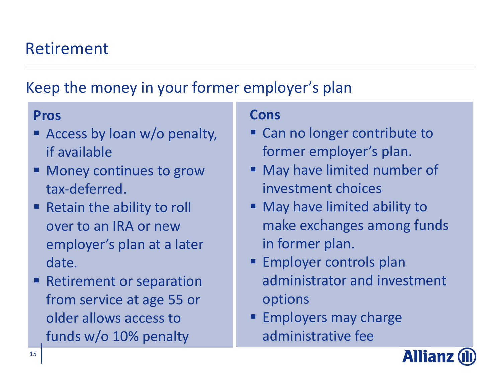#### Retirement

#### Keep the money in your former employer's plan

#### **Pros**

- **Exercise Strateger Access by loan w/o penalty,** if available
- Money continues to grow tax-deferred.
- **Retain the ability to roll** over to an IRA or new employer's plan at a later date.
- Retirement or separation from service at age 55 or older allows access to funds w/o 10% penalty

- Can no longer contribute to former employer's plan.
- May have limited number of investment choices
- **Nay have limited ability to** make exchanges among funds in former plan.
- **Employer controls plan** administrator and investment options
- **Employers may charge** administrative fee

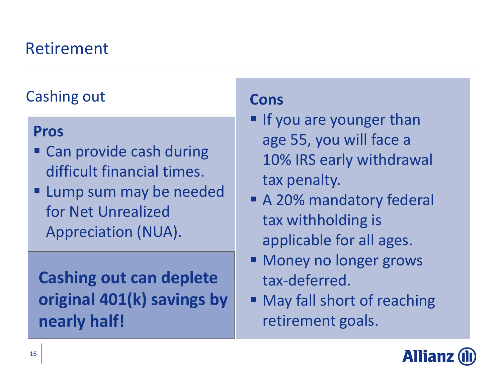#### Retirement

#### Cashing out

#### **Pros**

- **Can provide cash during** difficult financial times.
- **Lump sum may be needed** for Net Unrealized Appreciation (NUA).

### **Cashing out can deplete original 401(k) savings by nearly half!**

- **If you are younger than** age 55, you will face a 10% IRS early withdrawal tax penalty.
- **A 20% mandatory federal** tax withholding is applicable for all ages.
- **Money no longer grows** tax-deferred.
- **May fall short of reaching** retirement goals.

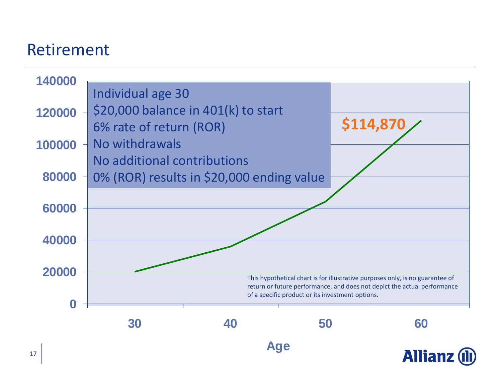#### Retirement

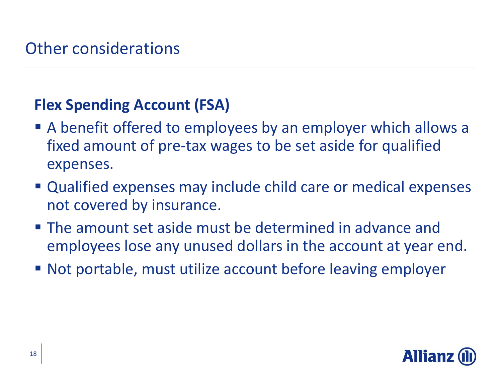#### **Flex Spending Account (FSA)**

- A benefit offered to employees by an employer which allows a fixed amount of pre-tax wages to be set aside for qualified expenses.
- Qualified expenses may include child care or medical expenses not covered by insurance.
- The amount set aside must be determined in advance and employees lose any unused dollars in the account at year end.
- Not portable, must utilize account before leaving employer

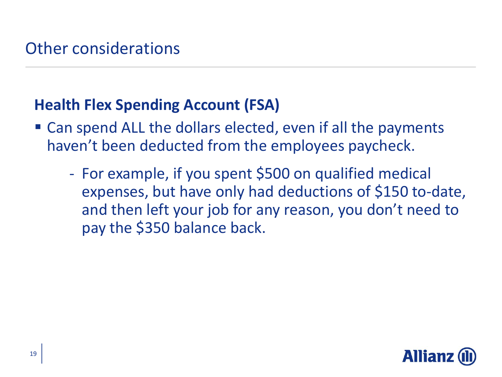#### **Health Flex Spending Account (FSA)**

- Can spend ALL the dollars elected, even if all the payments haven't been deducted from the employees paycheck.
	- For example, if you spent \$500 on qualified medical expenses, but have only had deductions of \$150 to-date, and then left your job for any reason, you don't need to pay the \$350 balance back.

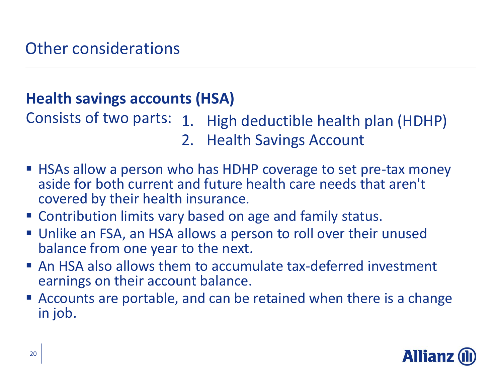#### **Health savings accounts (HSA)**

Consists of two parts: 1. High deductible health plan (HDHP) 2. Health Savings Account

- HSAs allow a person who has HDHP coverage to set pre-tax money aside for both current and future health care needs that aren't covered by their health insurance.
- Contribution limits vary based on age and family status.
- Unlike an FSA, an HSA allows a person to roll over their unused balance from one year to the next.
- An HSA also allows them to accumulate tax-deferred investment earnings on their account balance.
- Accounts are portable, and can be retained when there is a change in job.

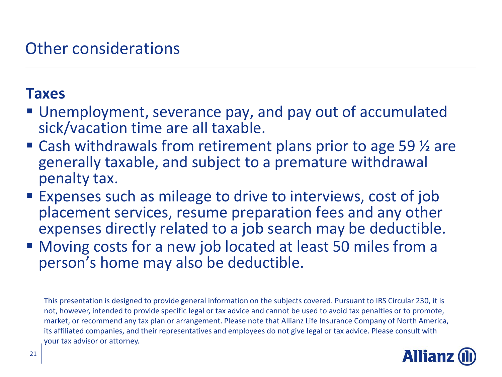#### Other considerations

#### **Taxes**

- Unemployment, severance pay, and pay out of accumulated sick/vacation time are all taxable.
- Cash withdrawals from retirement plans prior to age 59 <sup>1</sup>/<sub>2</sub> are generally taxable, and subject to a premature withdrawal penalty tax.
- **Expenses such as mileage to drive to interviews, cost of job** placement services, resume preparation fees and any other expenses directly related to a job search may be deductible.
- Moving costs for a new job located at least 50 miles from a person's home may also be deductible.

This presentation is designed to provide general information on the subjects covered. Pursuant to IRS Circular 230, it is not, however, intended to provide specific legal or tax advice and cannot be used to avoid tax penalties or to promote, market, or recommend any tax plan or arrangement. Please note that Allianz Life Insurance Company of North America, its affiliated companies, and their representatives and employees do not give legal or tax advice. Please consult with your tax advisor or attorney.

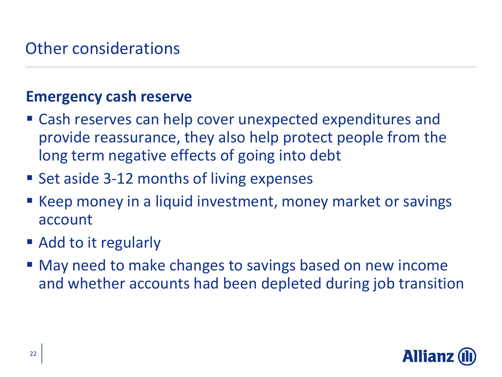#### Other considerations

#### **Emergency cash reserve**

- Cash reserves can help cover unexpected expenditures and provide reassurance, they also help protect people from the long term negative effects of going into debt
- Set aside 3-12 months of living expenses
- Keep money in a liquid investment, money market or savings account
- Add to it regularly
- May need to make changes to savings based on new income and whether accounts had been depleted during job transition

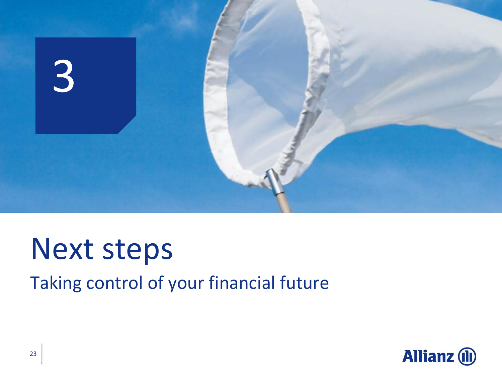

### Next steps

Taking control of your financial future

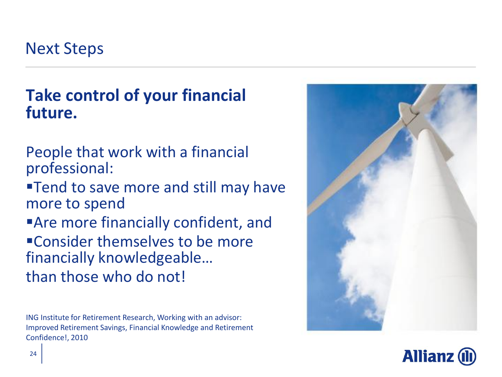Next Steps

#### **Take control of your financial future.**

People that work with a financial professional:

**Tend to save more and still may have** more to spend

Are more financially confident, and Consider themselves to be more financially knowledgeable… than those who do not!

ING Institute for Retirement Research, Working with an advisor: Improved Retirement Savings, Financial Knowledge and Retirement Confidence!, 2010



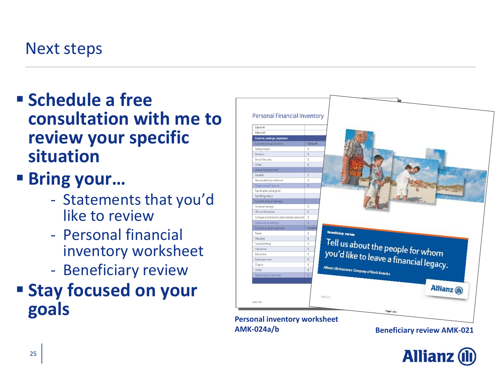#### Next steps

- **Schedule a free consultation with me to review your specific situation**
- **Bring your…**
	- Statements that you'd like to review
	- Personal financial inventory worksheet
	- Beneficiary review
- **Stay focused on your goals**



**Allianz (II**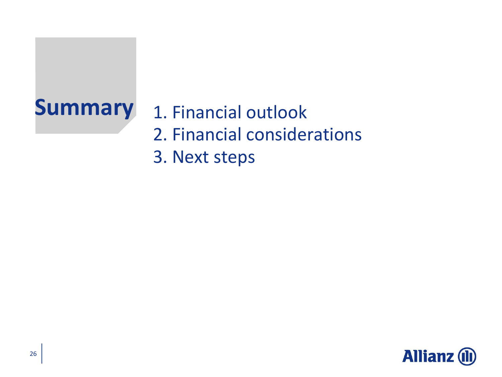### **Summary** 1. Financial outlook 2. Financial considerations 3. Next steps

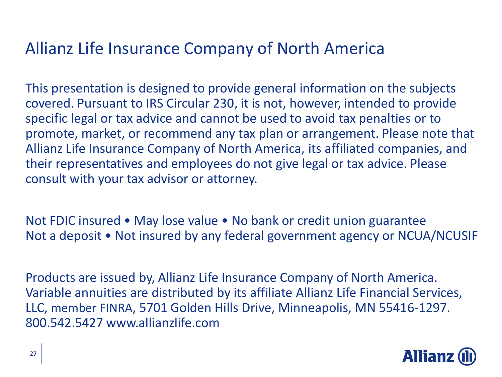#### Allianz Life Insurance Company of North America

This presentation is designed to provide general information on the subjects covered. Pursuant to IRS Circular 230, it is not, however, intended to provide specific legal or tax advice and cannot be used to avoid tax penalties or to promote, market, or recommend any tax plan or arrangement. Please note that Allianz Life Insurance Company of North America, its affiliated companies, and their representatives and employees do not give legal or tax advice. Please consult with your tax advisor or attorney.

Not FDIC insured • May lose value • No bank or credit union guarantee Not a deposit • Not insured by any federal government agency or NCUA/NCUSIF

Products are issued by, Allianz Life Insurance Company of North America. Variable annuities are distributed by its affiliate Allianz Life Financial Services, LLC, member FINRA, 5701 Golden Hills Drive, Minneapolis, MN 55416-1297. 800.542.5427 www.allianzlife.com